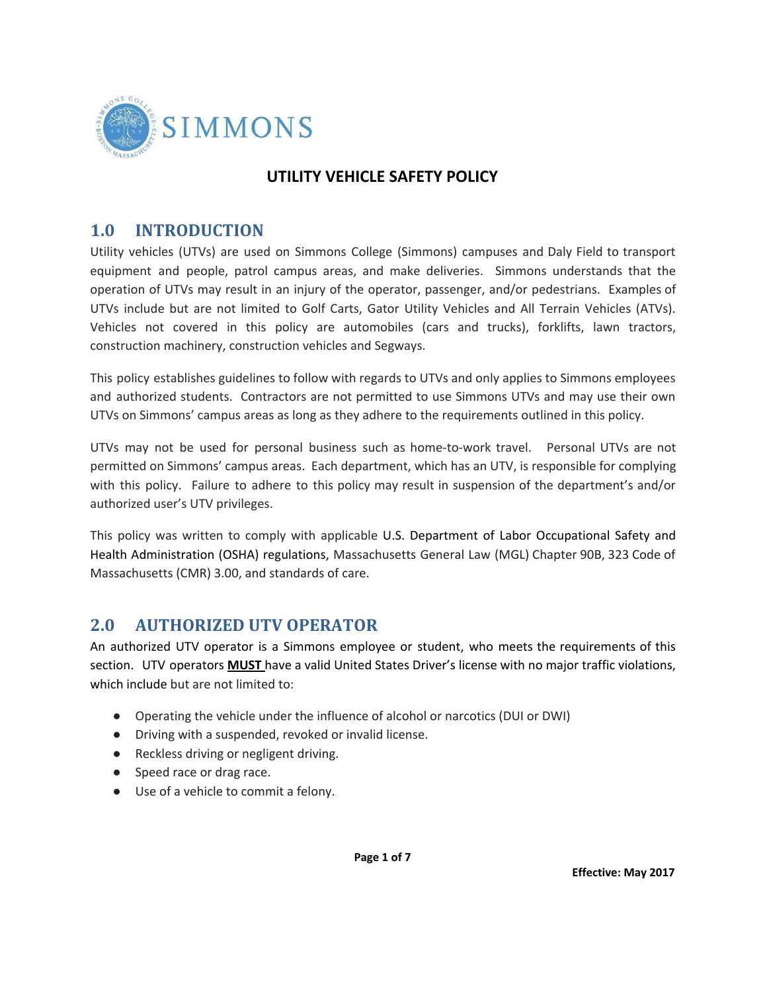

### **UTILITY VEHICLE SAFETY POLICY**

## **1.0 INTRODUCTION**

Utility vehicles (UTVs) are used on Simmons College (Simmons) campuses and Daly Field to transport equipment and people, patrol campus areas, and make deliveries. Simmons understands that the operation of UTVs may result in an injury of the operator, passenger, and/or pedestrians. Examples of UTVs include but are not limited to Golf Carts, Gator Utility Vehicles and All Terrain Vehicles (ATVs). Vehicles not covered in this policy are automobiles (cars and trucks), forklifts, lawn tractors, construction machinery, construction vehicles and Segways.

This policy establishes guidelines to follow with regards to UTVs and only applies to Simmons employees and authorized students. Contractors are not permitted to use Simmons UTVs and may use their own UTVs on Simmons' campus areas as long as they adhere to the requirements outlined in this policy.

UTVs may not be used for personal business such as home-to-work travel. Personal UTVs are not permitted on Simmons' campus areas. Each department, which has an UTV, is responsible for complying with this policy. Failure to adhere to this policy may result in suspension of the department's and/or authorized user's UTV privileges.

This policy was written to comply with applicable U.S. Department of Labor Occupational Safety and Health Administration (OSHA) regulations, Massachusetts General Law (MGL) Chapter 90B, 323 Code of Massachusetts (CMR) 3.00, and standards of care.

# **2.0 AUTHORIZED UTV OPERATOR**

An authorized UTV operator is a Simmons employee or student, who meets the requirements of this section. UTV operators **MUST** have a valid United States Driver's license with no major traffic violations, which include but are not limited to:

- Operating the vehicle under the influence of alcohol or narcotics (DUI or DWI)
- Driving with a suspended, revoked or invalid license.
- Reckless driving or negligent driving.
- Speed race or drag race.
- Use of a vehicle to commit a felony.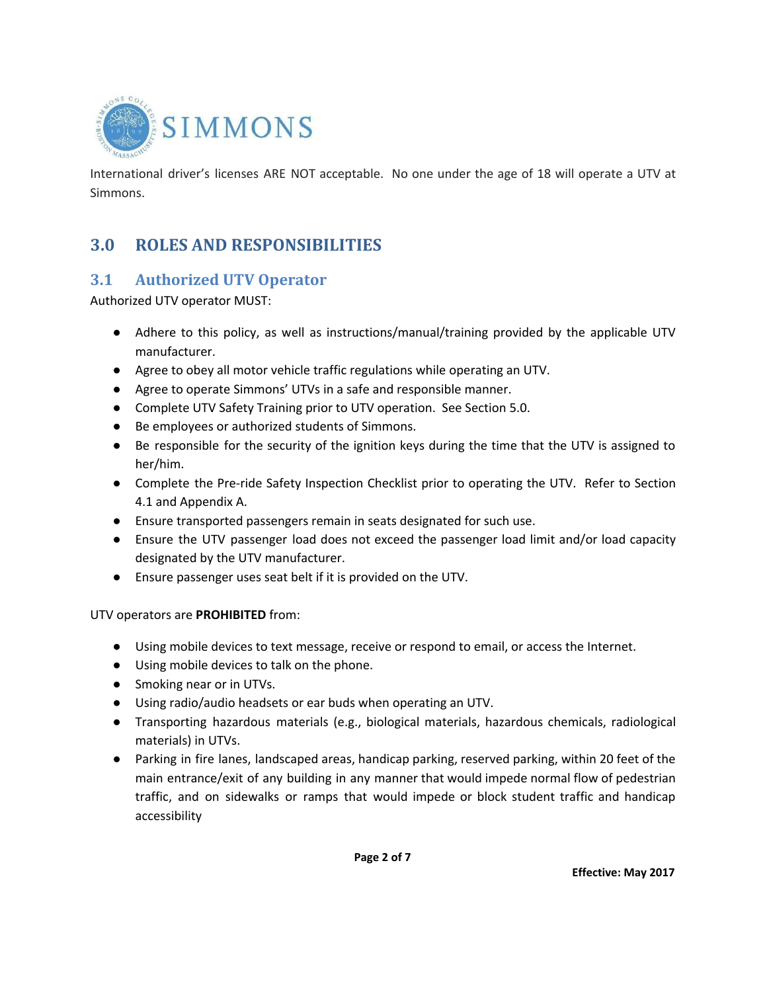

International driver's licenses ARE NOT acceptable. No one under the age of 18 will operate a UTV at Simmons.

## **3.0 ROLES AND RESPONSIBILITIES**

#### **3.1 Authorized UTV Operator**

Authorized UTV operator MUST:

- Adhere to this policy, as well as instructions/manual/training provided by the applicable UTV manufacturer.
- Agree to obey all motor vehicle traffic regulations while operating an UTV.
- Agree to operate Simmons' UTVs in a safe and responsible manner.
- Complete UTV Safety Training prior to UTV operation. See Section 5.0.
- Be employees or authorized students of Simmons.
- Be responsible for the security of the ignition keys during the time that the UTV is assigned to her/him.
- Complete the Pre-ride Safety Inspection Checklist prior to operating the UTV. Refer to Section 4.1 and Appendix A.
- Ensure transported passengers remain in seats designated for such use.
- Ensure the UTV passenger load does not exceed the passenger load limit and/or load capacity designated by the UTV manufacturer.
- Ensure passenger uses seat belt if it is provided on the UTV.

UTV operators are **PROHIBITED** from:

- Using mobile devices to text message, receive or respond to email, or access the Internet.
- Using mobile devices to talk on the phone.
- Smoking near or in UTVs.
- Using radio/audio headsets or ear buds when operating an UTV.
- Transporting hazardous materials (e.g., biological materials, hazardous chemicals, radiological materials) in UTVs.
- Parking in fire lanes, landscaped areas, handicap parking, reserved parking, within 20 feet of the main entrance/exit of any building in any manner that would impede normal flow of pedestrian traffic, and on sidewalks or ramps that would impede or block student traffic and handicap accessibility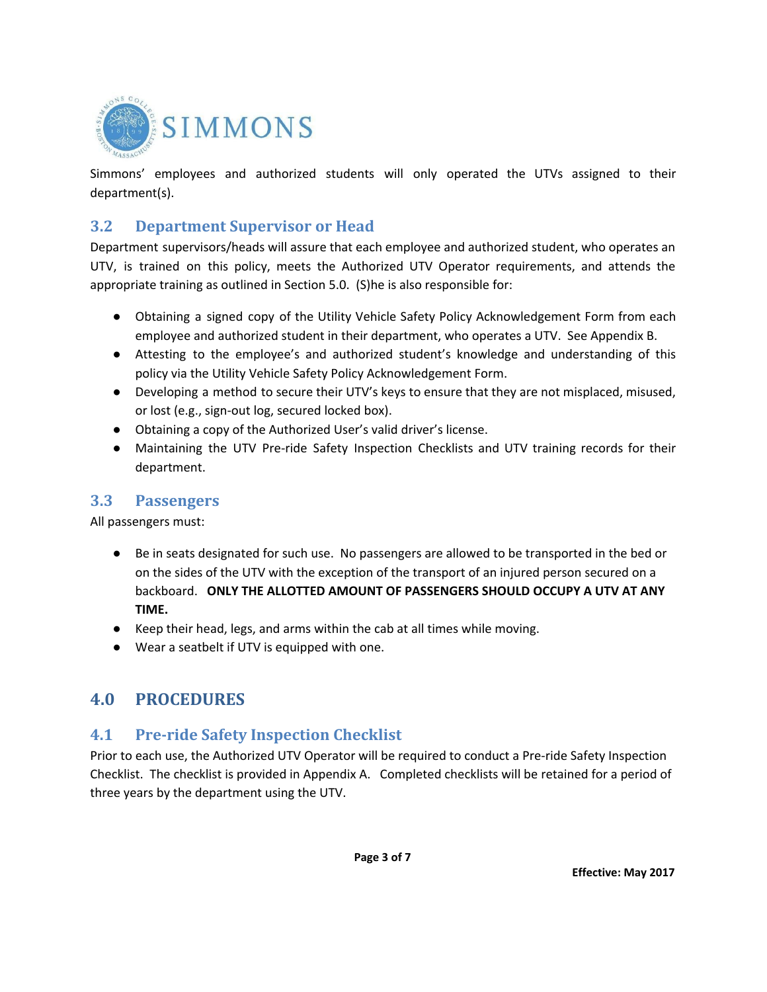

Simmons' employees and authorized students will only operated the UTVs assigned to their department(s).

#### **3.2 Department Supervisor or Head**

Department supervisors/heads will assure that each employee and authorized student, who operates an UTV, is trained on this policy, meets the Authorized UTV Operator requirements, and attends the appropriate training as outlined in Section 5.0. (S)he is also responsible for:

- Obtaining a signed copy of the Utility Vehicle Safety Policy Acknowledgement Form from each employee and authorized student in their department, who operates a UTV. See Appendix B.
- Attesting to the employee's and authorized student's knowledge and understanding of this policy via the Utility Vehicle Safety Policy Acknowledgement Form.
- Developing a method to secure their UTV's keys to ensure that they are not misplaced, misused, or lost (e.g., sign-out log, secured locked box).
- Obtaining a copy of the Authorized User's valid driver's license.
- Maintaining the UTV Pre-ride Safety Inspection Checklists and UTV training records for their department.

#### **3.3 Passengers**

All passengers must:

- Be in seats designated for such use. No passengers are allowed to be transported in the bed or on the sides of the UTV with the exception of the transport of an injured person secured on a backboard. **ONLY THE ALLOTTED AMOUNT OF PASSENGERS SHOULD OCCUPY A UTV AT ANY TIME.**
- Keep their head, legs, and arms within the cab at all times while moving.
- Wear a seatbelt if UTV is equipped with one.

## **4.0 PROCEDURES**

## **4.1 Pre-ride Safety Inspection Checklist**

Prior to each use, the Authorized UTV Operator will be required to conduct a Pre-ride Safety Inspection Checklist. The checklist is provided in Appendix A. Completed checklists will be retained for a period of three years by the department using the UTV.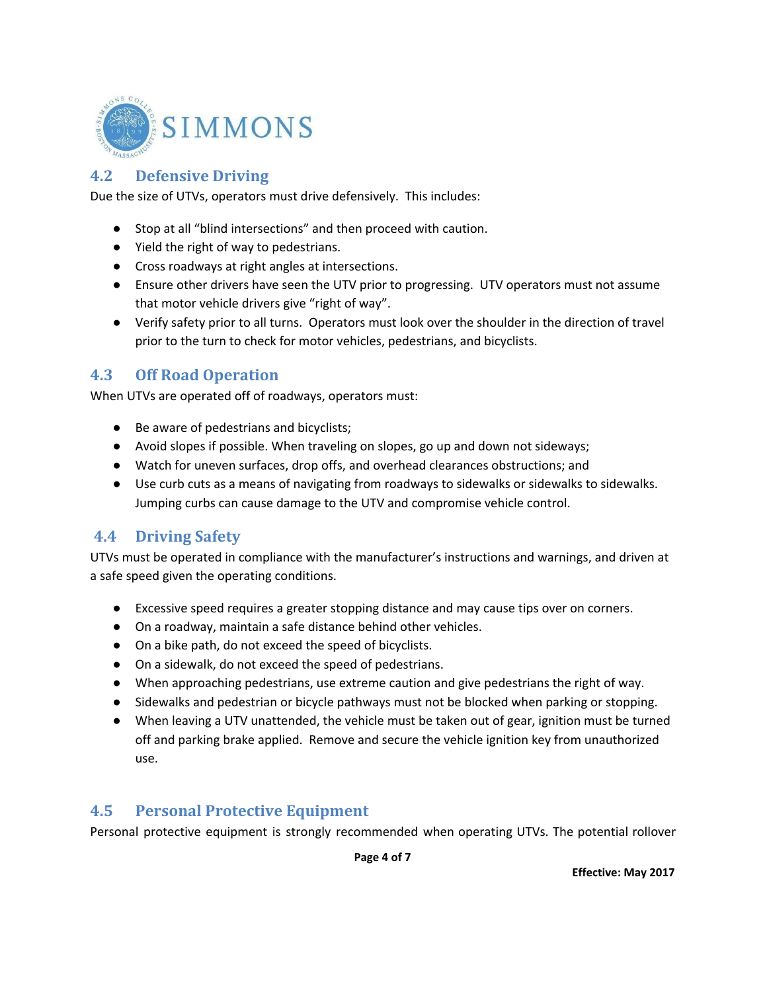

### **4.2 Defensive Driving**

Due the size of UTVs, operators must drive defensively. This includes:

- Stop at all "blind intersections" and then proceed with caution.
- Yield the right of way to pedestrians.
- Cross roadways at right angles at intersections.
- Ensure other drivers have seen the UTV prior to progressing. UTV operators must not assume that motor vehicle drivers give "right of way".
- Verify safety prior to all turns. Operators must look over the shoulder in the direction of travel prior to the turn to check for motor vehicles, pedestrians, and bicyclists.

#### **4.3 Off Road Operation**

When UTVs are operated off of roadways, operators must:

- Be aware of pedestrians and bicyclists;
- Avoid slopes if possible. When traveling on slopes, go up and down not sideways;
- Watch for uneven surfaces, drop offs, and overhead clearances obstructions; and
- Use curb cuts as a means of navigating from roadways to sidewalks or sidewalks to sidewalks. Jumping curbs can cause damage to the UTV and compromise vehicle control.

#### **4.4 Driving Safety**

UTVs must be operated in compliance with the manufacturer's instructions and warnings, and driven at a safe speed given the operating conditions.

- Excessive speed requires a greater stopping distance and may cause tips over on corners.
- On a roadway, maintain a safe distance behind other vehicles.
- On a bike path, do not exceed the speed of bicyclists.
- On a sidewalk, do not exceed the speed of pedestrians.
- When approaching pedestrians, use extreme caution and give pedestrians the right of way.
- Sidewalks and pedestrian or bicycle pathways must not be blocked when parking or stopping.
- When leaving a UTV unattended, the vehicle must be taken out of gear, ignition must be turned off and parking brake applied. Remove and secure the vehicle ignition key from unauthorized use.

#### **4.5 Personal Protective Equipment**

Personal protective equipment is strongly recommended when operating UTVs. The potential rollover

**Page 4 of 7**

**Effective: May 2017**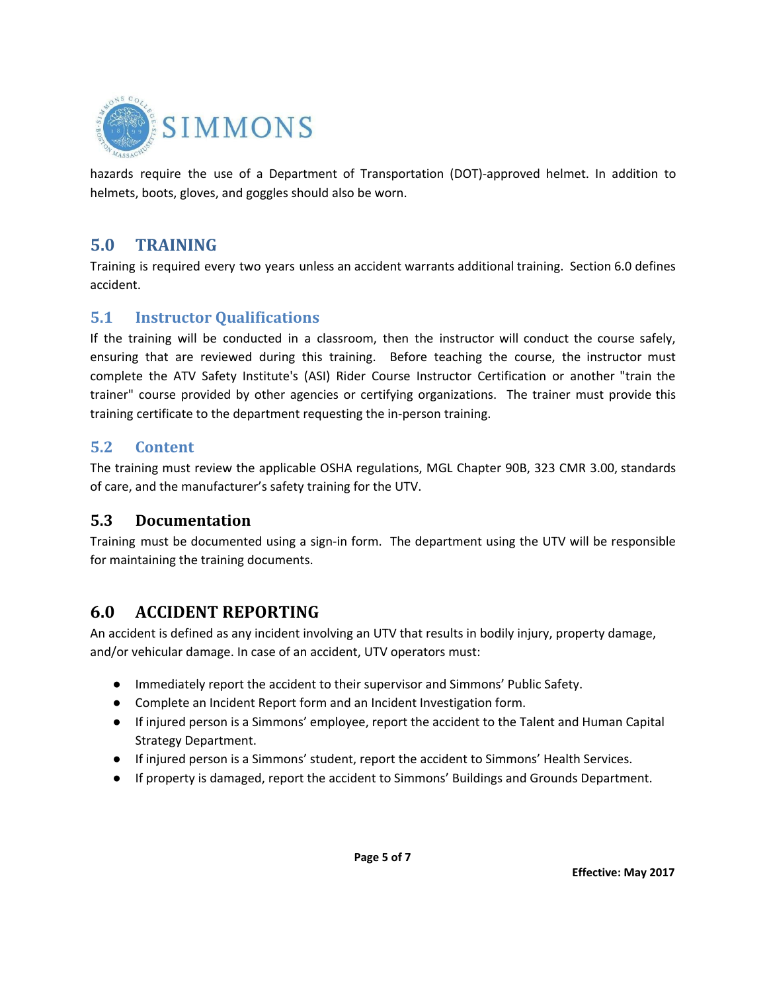

hazards require the use of a Department of Transportation (DOT)-approved helmet. In addition to helmets, boots, gloves, and goggles should also be worn.

#### **5.0 TRAINING**

Training is required every two years unless an accident warrants additional training. Section 6.0 defines accident.

#### **5.1 Instructor Qualifications**

If the training will be conducted in a classroom, then the instructor will conduct the course safely, ensuring that are reviewed during this training. Before teaching the course, the instructor must complete the ATV Safety Institute's (ASI) Rider Course Instructor Certification or another "train the trainer" course provided by other agencies or certifying organizations. The trainer must provide this training certificate to the department requesting the in-person training.

#### **5.2 Content**

The training must review the applicable OSHA regulations, MGL Chapter 90B, 323 CMR 3.00, standards of care, and the manufacturer's safety training for the UTV.

#### **5.3 Documentation**

Training must be documented using a sign-in form. The department using the UTV will be responsible for maintaining the training documents.

## **6.0 ACCIDENT REPORTING**

An accident is defined as any incident involving an UTV that results in bodily injury, property damage, and/or vehicular damage. In case of an accident, UTV operators must:

- Immediately report the accident to their supervisor and Simmons' Public Safety.
- Complete an Incident Report form and an Incident Investigation form.
- If injured person is a Simmons' employee, report the accident to the Talent and Human Capital Strategy Department.
- If injured person is a Simmons' student, report the accident to Simmons' Health Services.
- If property is damaged, report the accident to Simmons' Buildings and Grounds Department.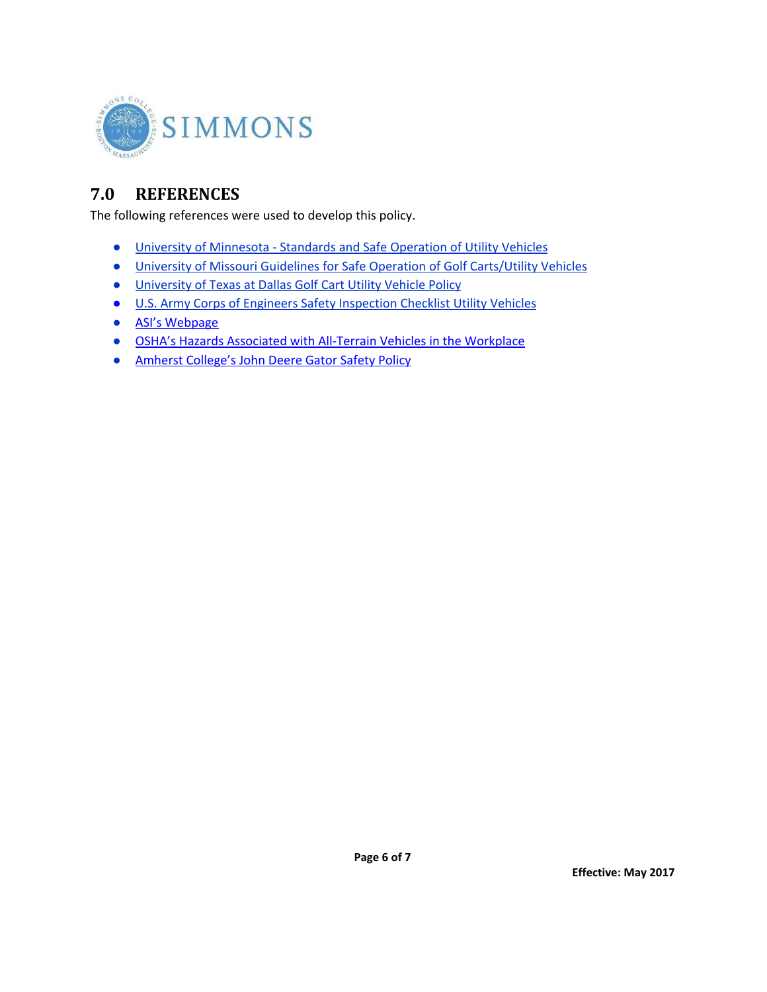

# **7.0 REFERENCES**

The following references were used to develop this policy.

- University of [Minnesota](https://policy.umn.edu/finance/vehicles-appe) Standards and Safe Operation of Utility Vehicles
- University of Missouri Guidelines for Safe Operation of Golf [Carts/Utility](https://ehs.missouri.edu/work/golfcart.html) Vehicles
- [University](http://www.utdallas.edu/safety/download/Golf_Cart_Utility_Vehicle_Policy.pdf) of Texas at Dallas Golf Cart Utility Vehicle Policy
- U.S. Army Corps of Engineers Safety [Inspection](http://www.usace.army.mil/Portals/2/docs/Safety/CESO%20Checklist%2018-03%20Utility%20Vehicles%20Checklist.pdf) Checklist Utility Vehicles
- ASI's [Webpage](http://www.atvsafety.org/)
- OSHA's Hazards [Associated](https://www.osha.gov/dts/shib/shib080306.html) with All-Terrain Vehicles in the Workplace
- Amherst [College's](https://www.amherst.edu/offices/enviro_health_safety/vehicle-safety/johndeere_gators/node/31683) John Deere Gator Safety Policy

**Page 6 of 7**